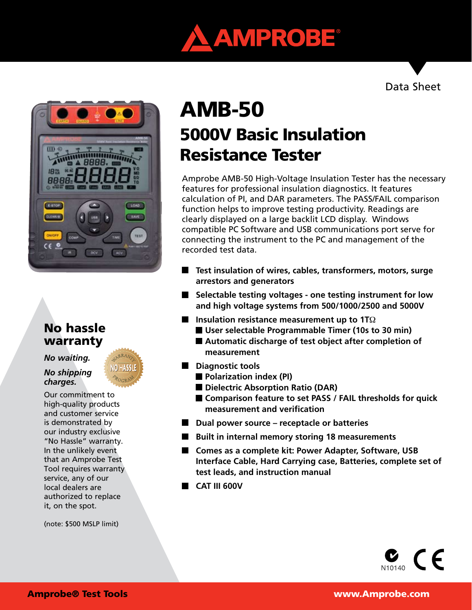

Data Sheet



# No hassle warranty

*No waiting.* 

#### *No shipping charges.*

Our commitment to high-quality products and customer service is demonstrated by our industry exclusive "No Hassle" warranty. In the unlikely event that an Amprobe Test Tool requires warranty service, any of our local dealers are authorized to replace it, on the spot.

(note: \$500 MSLP limit)

# 5000V Basic Insulation Resistance Tester AMB-50

Amprobe AMB-50 High-Voltage Insulation Tester has the necessary features for professional insulation diagnostics. It features calculation of PI, and DAR parameters. The PASS/FAIL comparison function helps to improve testing productivity. Readings are clearly displayed on a large backlit LCD display. Windows compatible PC Software and USB communications port serve for connecting the instrument to the PC and management of the recorded test data.

- **Test insulation of wires, cables, transformers, motors, surge arrestors and generators**
- **Selectable testing voltages one testing instrument for low and high voltage systems from 500/1000/2500 and 5000V**
- **Insulation resistance measurement up to 1T**Ω
	- **User selectable Programmable Timer (10s to 30 min)**
	- **Automatic discharge of test object after completion of measurement**
- **Diagnostic tools** 
	- **Polarization index (PI)**
	- Dielectric Absorption Ratio (DAR)
	- **Comparison feature to set PASS / FAIL thresholds for quick measurement and verification**
- Dual power source receptacle or batteries
- **Built in internal memory storing 18 measurements**
- Comes as a complete kit: Power Adapter, Software, USB **Interface Cable, Hard Carrying case, Batteries, complete set of test leads, and instruction manual**
- **CAT III 600V**

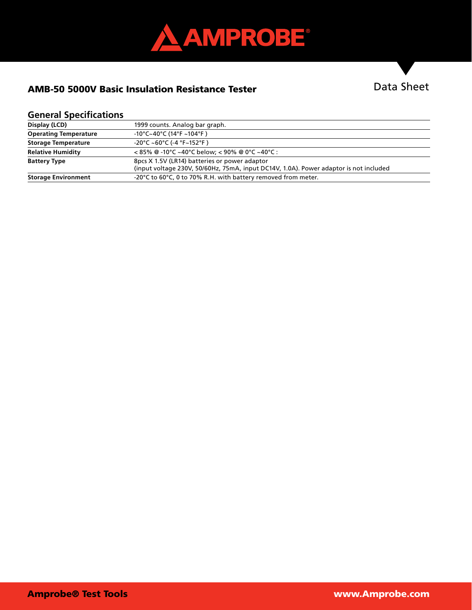

# AMB-50 5000V Basic Insulation Resistance Tester

# Data Sheet

### **General Specifications**

| Display (LCD)                | 1999 counts. Analog bar graph.                                                                                                         |  |  |
|------------------------------|----------------------------------------------------------------------------------------------------------------------------------------|--|--|
| <b>Operating Temperature</b> | $-10^{\circ}$ C~40°C (14°F ~104°F)                                                                                                     |  |  |
| <b>Storage Temperature</b>   | $-20^{\circ}$ C ~60°C (-4 °F~152°F)                                                                                                    |  |  |
| <b>Relative Humidity</b>     | $35\%$ @ -10°C ~40°C below; < 90% @ 0°C ~40°C :                                                                                        |  |  |
| <b>Battery Type</b>          | 8pcs X 1.5V (LR14) batteries or power adaptor<br>(input voltage 230V, 50/60Hz, 75mA, input DC14V, 1.0A). Power adaptor is not included |  |  |
| <b>Storage Environment</b>   | -20°C to 60°C, 0 to 70% R.H. with battery removed from meter.                                                                          |  |  |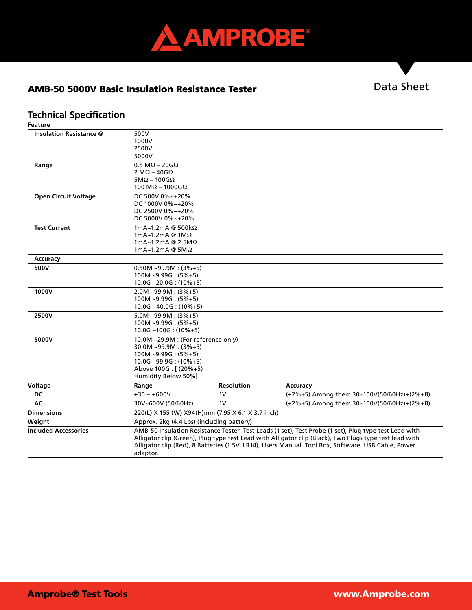

## AMB-50 5000V Basic Insulation Resistance Tester

# Data Sheet

### **Technical Specification**

| <b>Feature</b>                 |                                                                                                        |                   |                                                          |  |
|--------------------------------|--------------------------------------------------------------------------------------------------------|-------------------|----------------------------------------------------------|--|
| <b>Insulation Resistance @</b> | 500V                                                                                                   |                   |                                                          |  |
|                                | 1000V                                                                                                  |                   |                                                          |  |
|                                | 2500V                                                                                                  |                   |                                                          |  |
|                                | 5000V                                                                                                  |                   |                                                          |  |
| Range                          | $0.5 M\Omega - 20G\Omega$                                                                              |                   |                                                          |  |
|                                | 2 M $\Omega$ – 40G $\Omega$                                                                            |                   |                                                          |  |
|                                | $5M\Omega - 100G\Omega$                                                                                |                   |                                                          |  |
|                                | 100 M $\Omega$ – 1000G $\Omega$                                                                        |                   |                                                          |  |
| <b>Open Circuit Voltage</b>    | DC 500V 0%~+20%                                                                                        |                   |                                                          |  |
|                                | DC 1000V 0%~+20%                                                                                       |                   |                                                          |  |
|                                | DC 2500V 0%~+20%                                                                                       |                   |                                                          |  |
|                                | DC 5000V 0%~+20%                                                                                       |                   |                                                          |  |
| <b>Test Current</b>            | 1mA~1.2mA @ 500kΩ                                                                                      |                   |                                                          |  |
|                                | 1mA~1.2mA @ 1M $\Omega$                                                                                |                   |                                                          |  |
|                                | $1mA - 1.2mA @ 2.5M\Omega$                                                                             |                   |                                                          |  |
|                                | 1mA~1.2mA @ $5M\Omega$                                                                                 |                   |                                                          |  |
| Accuracy                       |                                                                                                        |                   |                                                          |  |
| 500V                           | $0.50M - 99.9M : (3% + 5)$                                                                             |                   |                                                          |  |
|                                | $100M - 9.99G : (5% + 5)$                                                                              |                   |                                                          |  |
|                                | $10.0G - 20.0G : (10\% + 5)$                                                                           |                   |                                                          |  |
| 1000V                          | $2.0M - 99.9M : (3% + 5)$                                                                              |                   |                                                          |  |
|                                | $100M - 9.99G : (5% + 5)$                                                                              |                   |                                                          |  |
|                                | $10.0G - 40.0G : (10\% + 5)$                                                                           |                   |                                                          |  |
| 2500V                          | $5.0M - 99.9M : (3\% + 5)$                                                                             |                   |                                                          |  |
|                                | $100M - 9.99G : (5% + 5)$                                                                              |                   |                                                          |  |
|                                | $10.0G - 100G : (10\% + 5)$                                                                            |                   |                                                          |  |
| 5000V                          | 10.0M ~29.9M : (For reference only)                                                                    |                   |                                                          |  |
|                                | $30.0M - 99.9M : (3% + 5)$                                                                             |                   |                                                          |  |
|                                | $100M - 9.99G : (5% + 5)$                                                                              |                   |                                                          |  |
|                                | $10.0G - 99.9G : (10\% + 5)$                                                                           |                   |                                                          |  |
|                                | Above 100G: [(20%+5)                                                                                   |                   |                                                          |  |
|                                | Humidity:Below 50%]                                                                                    |                   |                                                          |  |
| Voltage                        | Range                                                                                                  | <b>Resolution</b> | Accuracy                                                 |  |
| DC                             | $\pm30$ ~ $\pm600\mathrm{V}$                                                                           | 1 <sub>V</sub>    | $(\pm 2\% + 5)$ Among them 30~100V(50/60Hz) $\pm$ (2%+8) |  |
| AC                             | 30V~600V (50/60Hz)                                                                                     | 1V                | (±2%+5) Among them 30~100V(50/60Hz)±(2%+8)               |  |
| <b>Dimensions</b>              | 220(L) X 155 (W) X94(H)mm (7.95 X 6.1 X 3.7 inch)                                                      |                   |                                                          |  |
| Weight                         | Approx. 2kg (4.4 Lbs) (including battery)                                                              |                   |                                                          |  |
| <b>Included Accessories</b>    | AMB-50 Insulation Resistance Tester, Test Leads (1 set), Test Probe (1 set), Plug type test Lead with  |                   |                                                          |  |
|                                | Alligator clip (Green), Plug type test Lead with Alligator clip (Black), Two Plugs type test lead with |                   |                                                          |  |
|                                | Alligator clip (Red), 8 Batteries (1.5V, LR14), Users Manual, Tool Box, Software, USB Cable, Power     |                   |                                                          |  |
|                                | adaptor.                                                                                               |                   |                                                          |  |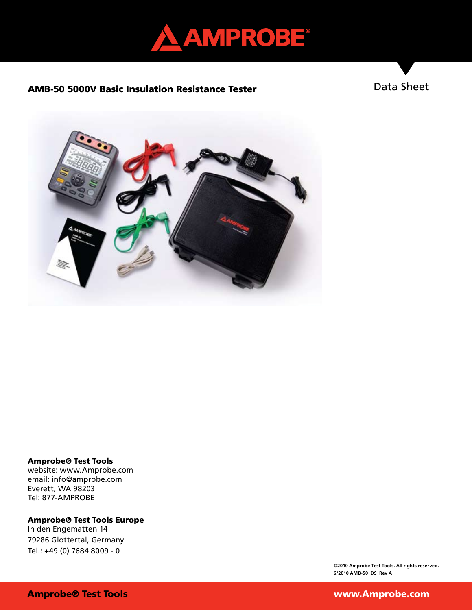

#### AMB-50 5000V Basic Insulation Resistance Tester

Data Sheet



#### Amprobe® Test Tools

website: www.Amprobe.com email: info@amprobe.com Everett, WA 98203 Tel: 877-AMPROBE

# Amprobe® Test Tools Europe

In den Engematten 14 79286 Glottertal, Germany Tel.: +49 (0) 7684 8009 - 0

> **©2010 Amprobe Test Tools. All rights reserved. 6/2010 AMB-50\_DS Rev A**